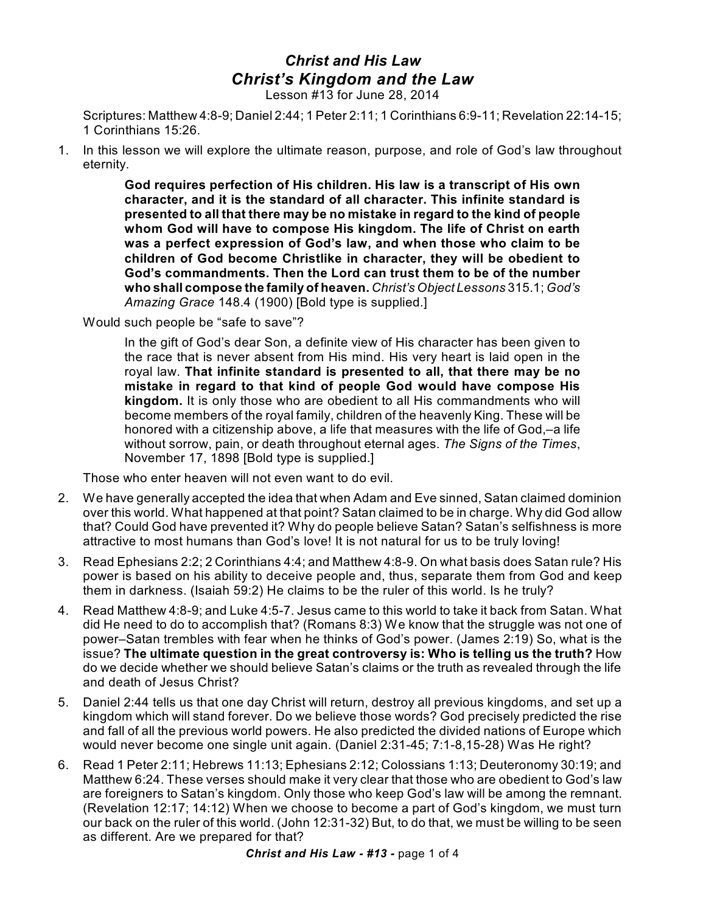## *Christ and His Law Christ's Kingdom and the Law*

Lesson #13 for June 28, 2014

Scriptures: Matthew 4:8-9; Daniel 2:44; 1 Peter 2:11; 1 Corinthians 6:9-11; Revelation 22:14-15; 1 Corinthians 15:26.

1. In this lesson we will explore the ultimate reason, purpose, and role of God's law throughout eternity.

> **God requires perfection of His children. His law is a transcript of His own character, and it is the standard of all character. This infinite standard is presented to all that there may be no mistake in regard to the kind of people whom God will have to compose His kingdom. The life of Christ on earth was a perfect expression of God's law, and when those who claim to be children of God become Christlike in character, they will be obedient to God's commandments. Then the Lord can trust them to be of the number who shall compose the family of heaven.** *Christ's Object Lessons* 315.1; *God's Amazing Grace* 148.4 (1900) [Bold type is supplied.]

Would such people be "safe to save"?

In the gift of God's dear Son, a definite view of His character has been given to the race that is never absent from His mind. His very heart is laid open in the royal law. **That infinite standard is presented to all, that there may be no mistake in regard to that kind of people God would have compose His kingdom.** It is only those who are obedient to all His commandments who will become members of the royal family, children of the heavenly King. These will be honored with a citizenship above, a life that measures with the life of God,–a life without sorrow, pain, or death throughout eternal ages. *The Signs of the Times*, November 17, 1898 [Bold type is supplied.]

Those who enter heaven will not even want to do evil.

- 2. We have generally accepted the idea that when Adam and Eve sinned, Satan claimed dominion over this world. What happened at that point? Satan claimed to be in charge. Why did God allow that? Could God have prevented it? Why do people believe Satan? Satan's selfishness is more attractive to most humans than God's love! It is not natural for us to be truly loving!
- 3. Read Ephesians 2:2; 2 Corinthians 4:4; and Matthew 4:8-9. On what basis does Satan rule? His power is based on his ability to deceive people and, thus, separate them from God and keep them in darkness. (Isaiah 59:2) He claims to be the ruler of this world. Is he truly?
- 4. Read Matthew 4:8-9; and Luke 4:5-7. Jesus came to this world to take it back from Satan. What did He need to do to accomplish that? (Romans 8:3) We know that the struggle was not one of power–Satan trembles with fear when he thinks of God's power. (James 2:19) So, what is the issue? **The ultimate question in the great controversy is: Who is telling us the truth?** How do we decide whether we should believe Satan's claims or the truth as revealed through the life and death of Jesus Christ?
- 5. Daniel 2:44 tells us that one day Christ will return, destroy all previous kingdoms, and set up a kingdom which will stand forever. Do we believe those words? God precisely predicted the rise and fall of all the previous world powers. He also predicted the divided nations of Europe which would never become one single unit again. (Daniel 2:31-45; 7:1-8,15-28) Was He right?
- 6. Read 1 Peter 2:11; Hebrews 11:13; Ephesians 2:12; Colossians 1:13; Deuteronomy 30:19; and Matthew 6:24. These verses should make it very clear that those who are obedient to God's law are foreigners to Satan's kingdom. Only those who keep God's law will be among the remnant. (Revelation 12:17; 14:12) When we choose to become a part of God's kingdom, we must turn our back on the ruler of this world. (John 12:31-32) But, to do that, we must be willing to be seen as different. Are we prepared for that?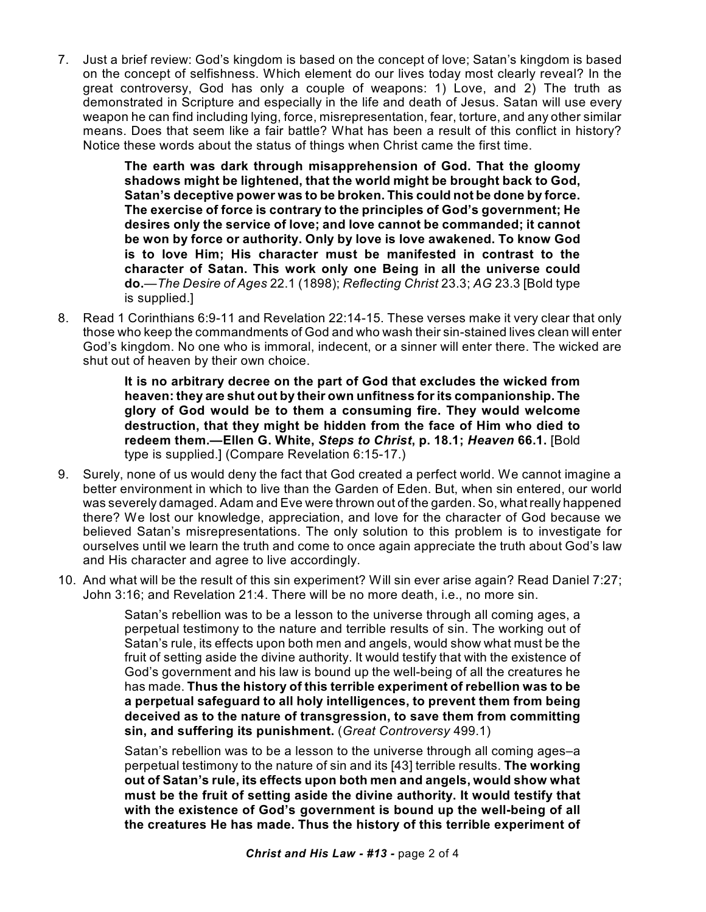7. Just a brief review: God's kingdom is based on the concept of love; Satan's kingdom is based on the concept of selfishness. Which element do our lives today most clearly reveal? In the great controversy, God has only a couple of weapons: 1) Love, and 2) The truth as demonstrated in Scripture and especially in the life and death of Jesus. Satan will use every weapon he can find including lying, force, misrepresentation, fear, torture, and any other similar means. Does that seem like a fair battle? What has been a result of this conflict in history? Notice these words about the status of things when Christ came the first time.

> **The earth was dark through misapprehension of God. That the gloomy shadows might be lightened, that the world might be brought back to God, Satan's deceptive power was to be broken. This could not be done by force. The exercise of force is contrary to the principles of God's government; He desires only the service of love; and love cannot be commanded; it cannot be won by force or authority. Only by love is love awakened. To know God is to love Him; His character must be manifested in contrast to the character of Satan. This work only one Being in all the universe could do.**—*The Desire of Ages* 22.1 (1898); *Reflecting Christ* 23.3; *AG* 23.3 [Bold type is supplied.]

8. Read 1 Corinthians 6:9-11 and Revelation 22:14-15. These verses make it very clear that only those who keep the commandments of God and who wash their sin-stained lives clean will enter God's kingdom. No one who is immoral, indecent, or a sinner will enter there. The wicked are shut out of heaven by their own choice.

> **It is no arbitrary decree on the part of God that excludes the wicked from heaven: they are shut out by their own unfitness forits companionship. The glory of God would be to them a consuming fire. They would welcome destruction, that they might be hidden from the face of Him who died to redeem them.—Ellen G. White,** *Steps to Christ***, p. 18.1;** *Heaven* **66.1.** [Bold type is supplied.] (Compare Revelation 6:15-17.)

- 9. Surely, none of us would deny the fact that God created a perfect world. We cannot imagine a better environment in which to live than the Garden of Eden. But, when sin entered, our world was severely damaged. Adam and Eve were thrown out of the garden. So, what really happened there? We lost our knowledge, appreciation, and love for the character of God because we believed Satan's misrepresentations. The only solution to this problem is to investigate for ourselves until we learn the truth and come to once again appreciate the truth about God's law and His character and agree to live accordingly.
- 10. And what will be the result of this sin experiment? Will sin ever arise again? Read Daniel 7:27; John 3:16; and Revelation 21:4. There will be no more death, i.e., no more sin.

Satan's rebellion was to be a lesson to the universe through all coming ages, a perpetual testimony to the nature and terrible results of sin. The working out of Satan's rule, its effects upon both men and angels, would show what must be the fruit of setting aside the divine authority. It would testify that with the existence of God's government and his law is bound up the well-being of all the creatures he has made. **Thus the history of this terrible experiment of rebellion was to be a perpetual safeguard to all holy intelligences, to prevent them from being deceived as to the nature of transgression, to save them from committing sin, and suffering its punishment.** (*Great Controversy* 499.1)

Satan's rebellion was to be a lesson to the universe through all coming ages–a perpetual testimony to the nature of sin and its [43] terrible results. **The working out of Satan's rule, its effects upon both men and angels, would show what must be the fruit of setting aside the divine authority. It would testify that with the existence of God's government is bound up the well-being of all the creatures He has made. Thus the history of this terrible experiment of**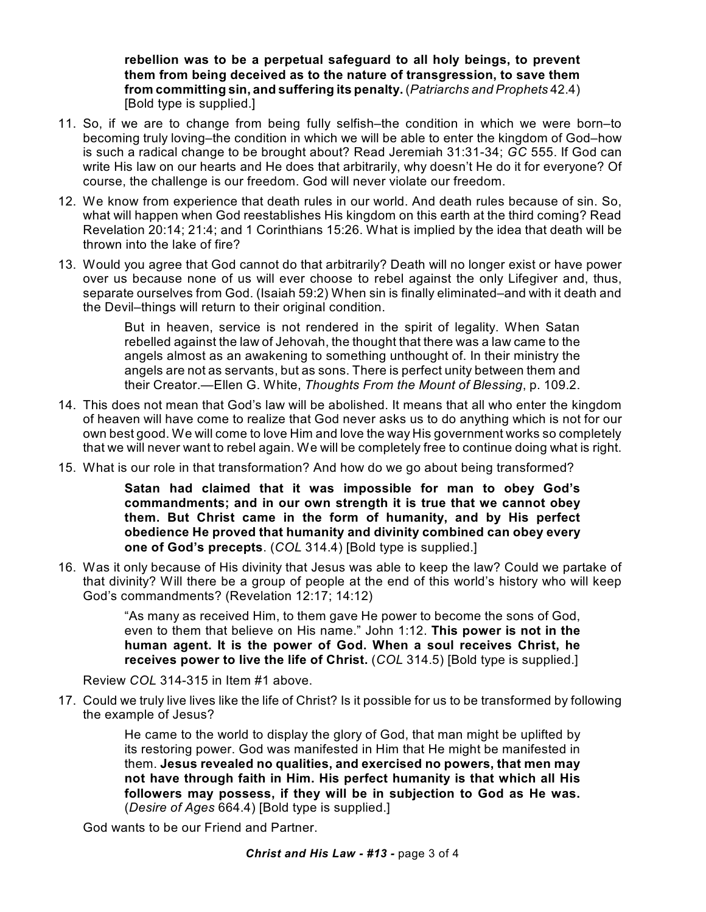**rebellion was to be a perpetual safeguard to all holy beings, to prevent them from being deceived as to the nature of transgression, to save them from committing sin, and suffering its penalty.** (*Patriarchs and Prophets* 42.4) [Bold type is supplied.]

- 11. So, if we are to change from being fully selfish–the condition in which we were born–to becoming truly loving–the condition in which we will be able to enter the kingdom of God–how is such a radical change to be brought about? Read Jeremiah 31:31-34; *GC* 555. If God can write His law on our hearts and He does that arbitrarily, why doesn't He do it for everyone? Of course, the challenge is our freedom. God will never violate our freedom.
- 12. We know from experience that death rules in our world. And death rules because of sin. So, what will happen when God reestablishes His kingdom on this earth at the third coming? Read Revelation 20:14; 21:4; and 1 Corinthians 15:26. What is implied by the idea that death will be thrown into the lake of fire?
- 13. Would you agree that God cannot do that arbitrarily? Death will no longer exist or have power over us because none of us will ever choose to rebel against the only Lifegiver and, thus, separate ourselves from God. (Isaiah 59:2) When sin is finally eliminated–and with it death and the Devil–things will return to their original condition.

But in heaven, service is not rendered in the spirit of legality. When Satan rebelled against the law of Jehovah, the thought that there was a law came to the angels almost as an awakening to something unthought of. In their ministry the angels are not as servants, but as sons. There is perfect unity between them and their Creator.—Ellen G. White, *Thoughts From the Mount of Blessing*, p. 109.2.

- 14. This does not mean that God's law will be abolished. It means that all who enter the kingdom of heaven will have come to realize that God never asks us to do anything which is not for our own best good. We will come to love Him and love the way His government works so completely that we will never want to rebel again. We will be completely free to continue doing what is right.
- 15. What is our role in that transformation? And how do we go about being transformed?

**Satan had claimed that it was impossible for man to obey God's commandments; and in our own strength it is true that we cannot obey them. But Christ came in the form of humanity, and by His perfect obedience He proved that humanity and divinity combined can obey every one of God's precepts**. (*COL* 314.4) [Bold type is supplied.]

16. Was it only because of His divinity that Jesus was able to keep the law? Could we partake of that divinity? Will there be a group of people at the end of this world's history who will keep God's commandments? (Revelation 12:17; 14:12)

> "As many as received Him, to them gave He power to become the sons of God, even to them that believe on His name." John 1:12. **This power is not in the human agent. It is the power of God. When a soul receives Christ, he receives power to live the life of Christ.** (*COL* 314.5) [Bold type is supplied.]

Review *COL* 314-315 in Item #1 above.

17. Could we truly live lives like the life of Christ? Is it possible for us to be transformed by following the example of Jesus?

> He came to the world to display the glory of God, that man might be uplifted by its restoring power. God was manifested in Him that He might be manifested in them. **Jesus revealed no qualities, and exercised no powers, that men may not have through faith in Him. His perfect humanity is that which all His followers may possess, if they will be in subjection to God as He was.** (*Desire of Ages* 664.4) [Bold type is supplied.]

God wants to be our Friend and Partner.